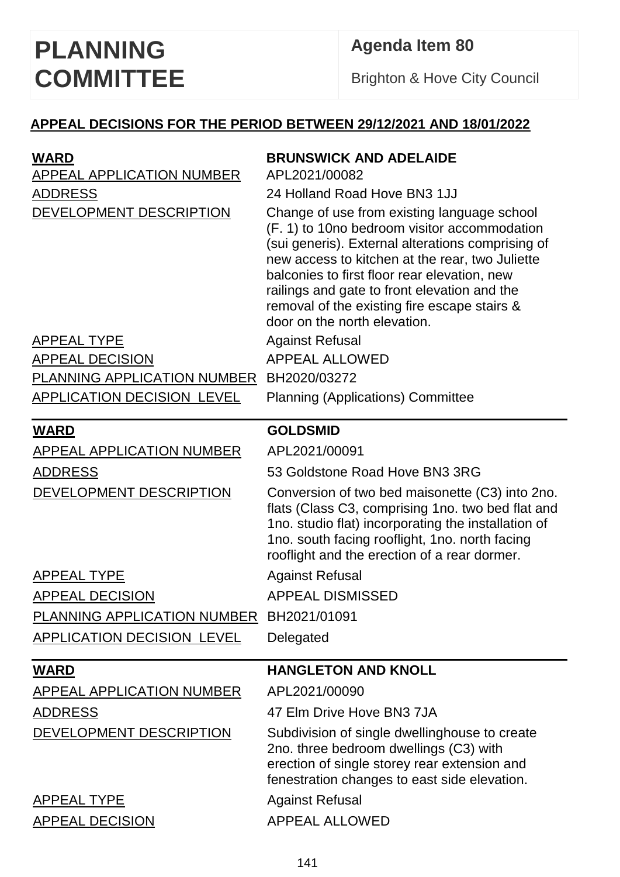## **Agenda Item 80**

Brighton & Hove City Council

## **APPEAL DECISIONS FOR THE PERIOD BETWEEN 29/12/2021 AND 18/01/2022**

| <b>WARD</b><br>APPEAL APPLICATION NUMBER<br><b>ADDRESS</b><br>DEVELOPMENT DESCRIPTION | <b>BRUNSWICK AND ADELAIDE</b><br>APL2021/00082<br>24 Holland Road Hove BN3 1JJ<br>Change of use from existing language school<br>(F. 1) to 10no bedroom visitor accommodation<br>(sui generis). External alterations comprising of<br>new access to kitchen at the rear, two Juliette<br>balconies to first floor rear elevation, new<br>railings and gate to front elevation and the<br>removal of the existing fire escape stairs &<br>door on the north elevation. |
|---------------------------------------------------------------------------------------|-----------------------------------------------------------------------------------------------------------------------------------------------------------------------------------------------------------------------------------------------------------------------------------------------------------------------------------------------------------------------------------------------------------------------------------------------------------------------|
| <b>APPEAL TYPE</b>                                                                    | <b>Against Refusal</b>                                                                                                                                                                                                                                                                                                                                                                                                                                                |
| <b>APPEAL DECISION</b>                                                                | <b>APPEAL ALLOWED</b>                                                                                                                                                                                                                                                                                                                                                                                                                                                 |
| PLANNING APPLICATION NUMBER                                                           | BH2020/03272                                                                                                                                                                                                                                                                                                                                                                                                                                                          |
| <b>APPLICATION DECISION LEVEL</b>                                                     | <b>Planning (Applications) Committee</b>                                                                                                                                                                                                                                                                                                                                                                                                                              |
| <b>WARD</b>                                                                           | <b>GOLDSMID</b>                                                                                                                                                                                                                                                                                                                                                                                                                                                       |
| APPEAL APPLICATION NUMBER                                                             | APL2021/00091                                                                                                                                                                                                                                                                                                                                                                                                                                                         |
| <b>ADDRESS</b>                                                                        | 53 Goldstone Road Hove BN3 3RG                                                                                                                                                                                                                                                                                                                                                                                                                                        |
| DEVELOPMENT DESCRIPTION                                                               | Conversion of two bed maisonette (C3) into 2no.<br>flats (Class C3, comprising 1no. two bed flat and<br>1no. studio flat) incorporating the installation of<br>1no. south facing rooflight, 1no. north facing<br>rooflight and the erection of a rear dormer.                                                                                                                                                                                                         |
| <b>APPEAL TYPE</b>                                                                    | <b>Against Refusal</b>                                                                                                                                                                                                                                                                                                                                                                                                                                                |
| <b>APPEAL DECISION</b>                                                                | <b>APPEAL DISMISSED</b>                                                                                                                                                                                                                                                                                                                                                                                                                                               |
| PLANNING APPLICATION NUMBER                                                           | BH2021/01091                                                                                                                                                                                                                                                                                                                                                                                                                                                          |
| <b>APPLICATION DECISION LEVEL</b>                                                     | Delegated                                                                                                                                                                                                                                                                                                                                                                                                                                                             |
| <u>WARD</u>                                                                           | <b>HANGLETON AND KNOLL</b>                                                                                                                                                                                                                                                                                                                                                                                                                                            |
| <b>APPEAL APPLICATION NUMBER</b>                                                      | APL2021/00090                                                                                                                                                                                                                                                                                                                                                                                                                                                         |
| <b>ADDRESS</b>                                                                        | 47 Elm Drive Hove BN3 7JA                                                                                                                                                                                                                                                                                                                                                                                                                                             |
| DEVELOPMENT DESCRIPTION                                                               | Subdivision of single dwellinghouse to create<br>2no. three bedroom dwellings (C3) with<br>erection of single storey rear extension and<br>fenestration changes to east side elevation.                                                                                                                                                                                                                                                                               |
| <b>APPEAL TYPE</b>                                                                    | <b>Against Refusal</b>                                                                                                                                                                                                                                                                                                                                                                                                                                                |
| <b>APPEAL DECISION</b>                                                                | <b>APPEAL ALLOWED</b>                                                                                                                                                                                                                                                                                                                                                                                                                                                 |